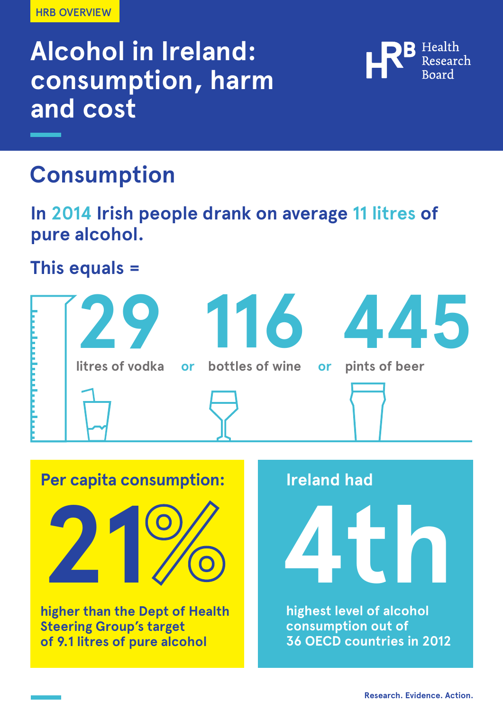HRB OVERVIEW

# **Alcohol in Ireland: consumption, harm and cost**



### **Consumption**

**In 2014 Irish people drank on average 11 litres of pure alcohol.**

**This equals =**



**Per capita consumption: higher than the Dept of Health 21 4th**

**Steering Group's target of 9.1 litres of pure alcohol** **Ireland had** 

**highest level of alcohol consumption out of 36 OECD countries in 2012**

**Research. Evidence. Action.**